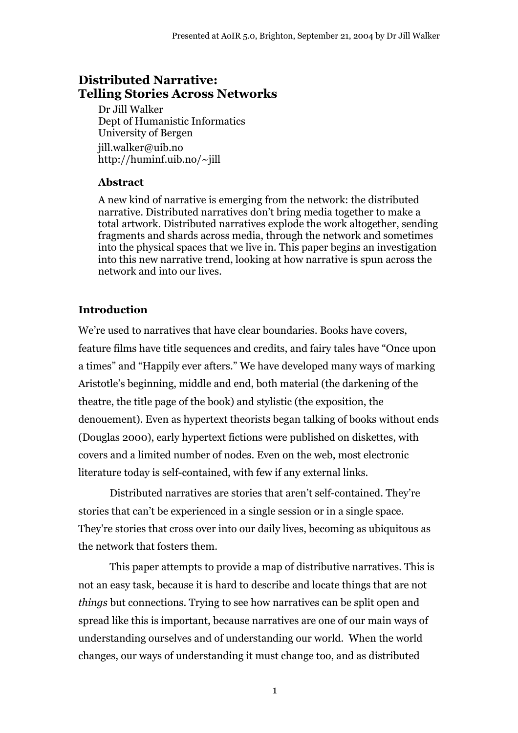# **Distributed Narrative: Telling Stories Across Networks**

Dr Jill Walker Dept of Humanistic Informatics University of Bergen jill.walker@uib.no http://huminf.uib.no/~jill

### **Abstract**

A new kind of narrative is emerging from the network: the distributed narrative. Distributed narratives don't bring media together to make a total artwork. Distributed narratives explode the work altogether, sending fragments and shards across media, through the network and sometimes into the physical spaces that we live in. This paper begins an investigation into this new narrative trend, looking at how narrative is spun across the network and into our lives.

## **Introduction**

We're used to narratives that have clear boundaries. Books have covers, feature films have title sequences and credits, and fairy tales have "Once upon a times" and "Happily ever afters." We have developed many ways of marking Aristotle's beginning, middle and end, both material (the darkening of the theatre, the title page of the book) and stylistic (the exposition, the denouement). Even as hypertext theorists began talking of books without ends (Douglas 2000), early hypertext fictions were published on diskettes, with covers and a limited number of nodes. Even on the web, most electronic literature today is self-contained, with few if any external links.

Distributed narratives are stories that aren't self-contained. They're stories that can't be experienced in a single session or in a single space. They're stories that cross over into our daily lives, becoming as ubiquitous as the network that fosters them.

This paper attempts to provide a map of distributive narratives. This is not an easy task, because it is hard to describe and locate things that are not *things* but connections. Trying to see how narratives can be split open and spread like this is important, because narratives are one of our main ways of understanding ourselves and of understanding our world. When the world changes, our ways of understanding it must change too, and as distributed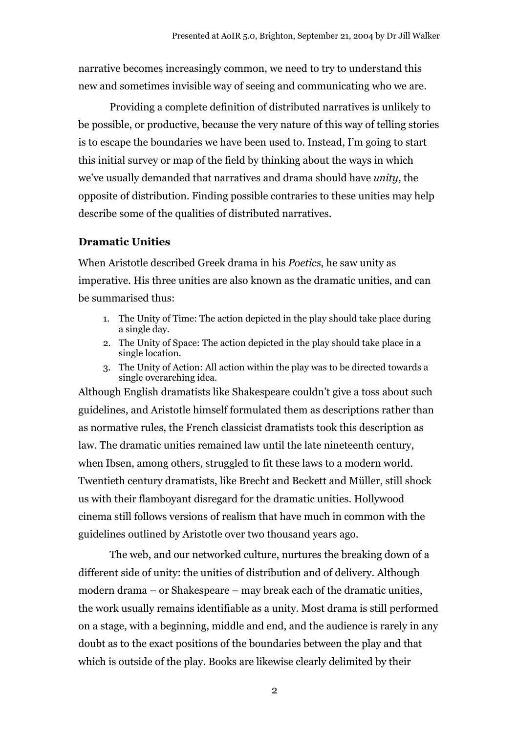narrative becomes increasingly common, we need to try to understand this new and sometimes invisible way of seeing and communicating who we are.

Providing a complete definition of distributed narratives is unlikely to be possible, or productive, because the very nature of this way of telling stories is to escape the boundaries we have been used to. Instead, I'm going to start this initial survey or map of the field by thinking about the ways in which we've usually demanded that narratives and drama should have *unity*, the opposite of distribution. Finding possible contraries to these unities may help describe some of the qualities of distributed narratives.

#### **Dramatic Unities**

When Aristotle described Greek drama in his *Poetics*, he saw unity as imperative. His three unities are also known as the dramatic unities, and can be summarised thus:

- 1. The Unity of Time: The action depicted in the play should take place during a single day.
- 2. The Unity of Space: The action depicted in the play should take place in a single location.
- 3. The Unity of Action: All action within the play was to be directed towards a single overarching idea.

Although English dramatists like Shakespeare couldn't give a toss about such guidelines, and Aristotle himself formulated them as descriptions rather than as normative rules, the French classicist dramatists took this description as law. The dramatic unities remained law until the late nineteenth century, when Ibsen, among others, struggled to fit these laws to a modern world. Twentieth century dramatists, like Brecht and Beckett and Müller, still shock us with their flamboyant disregard for the dramatic unities. Hollywood cinema still follows versions of realism that have much in common with the guidelines outlined by Aristotle over two thousand years ago.

The web, and our networked culture, nurtures the breaking down of a different side of unity: the unities of distribution and of delivery. Although modern drama – or Shakespeare – may break each of the dramatic unities, the work usually remains identifiable as a unity. Most drama is still performed on a stage, with a beginning, middle and end, and the audience is rarely in any doubt as to the exact positions of the boundaries between the play and that which is outside of the play. Books are likewise clearly delimited by their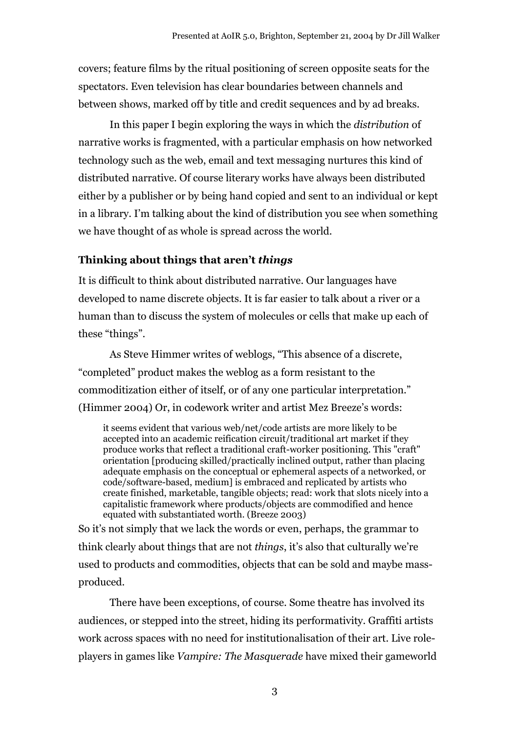covers; feature films by the ritual positioning of screen opposite seats for the spectators. Even television has clear boundaries between channels and between shows, marked off by title and credit sequences and by ad breaks.

In this paper I begin exploring the ways in which the *distribution* of narrative works is fragmented, with a particular emphasis on how networked technology such as the web, email and text messaging nurtures this kind of distributed narrative. Of course literary works have always been distributed either by a publisher or by being hand copied and sent to an individual or kept in a library. I'm talking about the kind of distribution you see when something we have thought of as whole is spread across the world.

### **Thinking about things that aren't** *things*

It is difficult to think about distributed narrative. Our languages have developed to name discrete objects. It is far easier to talk about a river or a human than to discuss the system of molecules or cells that make up each of these "things".

As Steve Himmer writes of weblogs, "This absence of a discrete, "completed" product makes the weblog as a form resistant to the commoditization either of itself, or of any one particular interpretation." (Himmer 2004) Or, in codework writer and artist Mez Breeze's words:

it seems evident that various web/net/code artists are more likely to be accepted into an academic reification circuit/traditional art market if they produce works that reflect a traditional craft-worker positioning. This "craft" orientation [producing skilled/practically inclined output, rather than placing adequate emphasis on the conceptual or ephemeral aspects of a networked, or code/software-based, medium] is embraced and replicated by artists who create finished, marketable, tangible objects; read: work that slots nicely into a capitalistic framework where products/objects are commodified and hence equated with substantiated worth. (Breeze 2003)

So it's not simply that we lack the words or even, perhaps, the grammar to think clearly about things that are not *things*, it's also that culturally we're used to products and commodities, objects that can be sold and maybe massproduced.

There have been exceptions, of course. Some theatre has involved its audiences, or stepped into the street, hiding its performativity. Graffiti artists work across spaces with no need for institutionalisation of their art. Live roleplayers in games like *Vampire: The Masquerade* have mixed their gameworld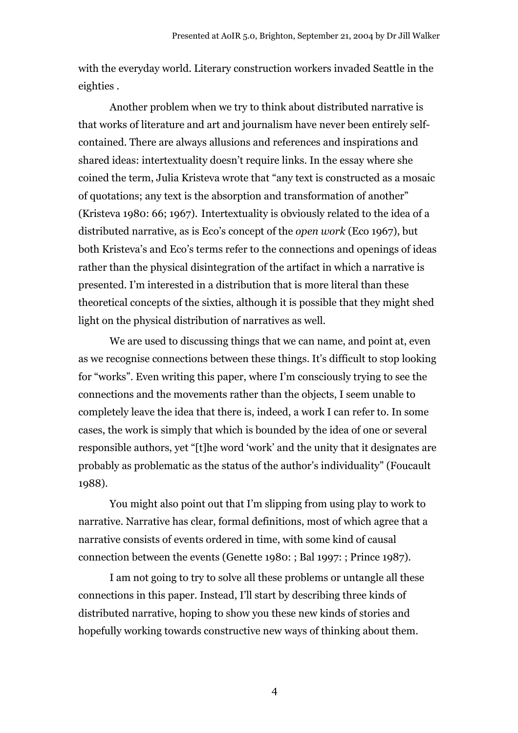with the everyday world. Literary construction workers invaded Seattle in the eighties .

Another problem when we try to think about distributed narrative is that works of literature and art and journalism have never been entirely selfcontained. There are always allusions and references and inspirations and shared ideas: intertextuality doesn't require links. In the essay where she coined the term, Julia Kristeva wrote that "any text is constructed as a mosaic of quotations; any text is the absorption and transformation of another" (Kristeva 1980: 66; 1967). Intertextuality is obviously related to the idea of a distributed narrative, as is Eco's concept of the *open work* (Eco 1967), but both Kristeva's and Eco's terms refer to the connections and openings of ideas rather than the physical disintegration of the artifact in which a narrative is presented. I'm interested in a distribution that is more literal than these theoretical concepts of the sixties, although it is possible that they might shed light on the physical distribution of narratives as well.

We are used to discussing things that we can name, and point at, even as we recognise connections between these things. It's difficult to stop looking for "works". Even writing this paper, where I'm consciously trying to see the connections and the movements rather than the objects, I seem unable to completely leave the idea that there is, indeed, a work I can refer to. In some cases, the work is simply that which is bounded by the idea of one or several responsible authors, yet "[t]he word 'work' and the unity that it designates are probably as problematic as the status of the author's individuality" (Foucault 1988).

You might also point out that I'm slipping from using play to work to narrative. Narrative has clear, formal definitions, most of which agree that a narrative consists of events ordered in time, with some kind of causal connection between the events (Genette 1980: ; Bal 1997: ; Prince 1987).

I am not going to try to solve all these problems or untangle all these connections in this paper. Instead, I'll start by describing three kinds of distributed narrative, hoping to show you these new kinds of stories and hopefully working towards constructive new ways of thinking about them.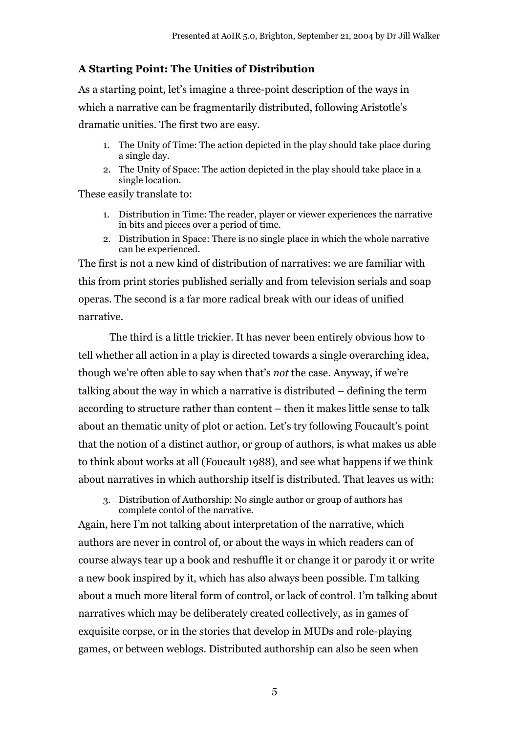### **A Starting Point: The Unities of Distribution**

As a starting point, let's imagine a three-point description of the ways in which a narrative can be fragmentarily distributed, following Aristotle's dramatic unities. The first two are easy.

- 1. The Unity of Time: The action depicted in the play should take place during a single day.
- 2. The Unity of Space: The action depicted in the play should take place in a single location.

These easily translate to:

- 1. Distribution in Time: The reader, player or viewer experiences the narrative in bits and pieces over a period of time.
- 2. Distribution in Space: There is no single place in which the whole narrative can be experienced.

The first is not a new kind of distribution of narratives: we are familiar with this from print stories published serially and from television serials and soap operas. The second is a far more radical break with our ideas of unified narrative.

The third is a little trickier. It has never been entirely obvious how to tell whether all action in a play is directed towards a single overarching idea, though we're often able to say when that's *not* the case. Anyway, if we're talking about the way in which a narrative is distributed – defining the term according to structure rather than content – then it makes little sense to talk about an thematic unity of plot or action. Let's try following Foucault's point that the notion of a distinct author, or group of authors, is what makes us able to think about works at all (Foucault 1988), and see what happens if we think about narratives in which authorship itself is distributed. That leaves us with:

3. Distribution of Authorship: No single author or group of authors has complete contol of the narrative.

Again, here I'm not talking about interpretation of the narrative, which authors are never in control of, or about the ways in which readers can of course always tear up a book and reshuffle it or change it or parody it or write a new book inspired by it, which has also always been possible. I'm talking about a much more literal form of control, or lack of control. I'm talking about narratives which may be deliberately created collectively, as in games of exquisite corpse, or in the stories that develop in MUDs and role-playing games, or between weblogs. Distributed authorship can also be seen when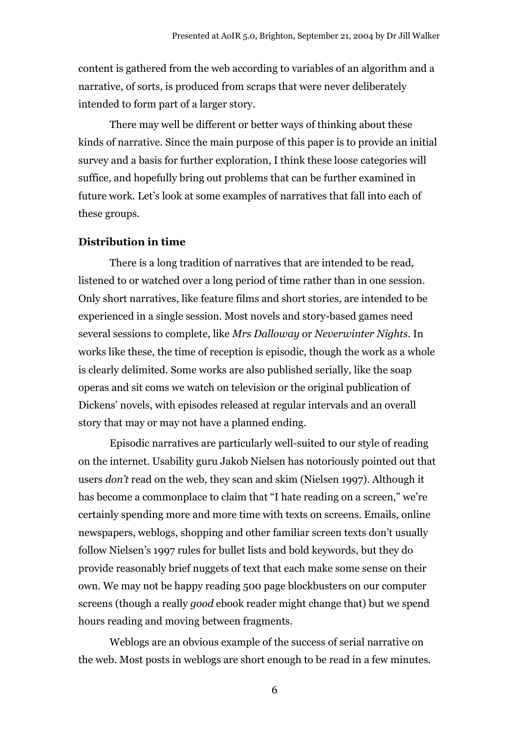content is gathered from the web according to variables of an algorithm and a narrative, of sorts, is produced from scraps that were never deliberately intended to form part of a larger story.

There may well be different or better ways of thinking about these kinds of narrative. Since the main purpose of this paper is to provide an initial survey and a basis for further exploration, I think these loose categories will suffice, and hopefully bring out problems that can be further examined in future work. Let's look at some examples of narratives that fall into each of these groups.

#### **Distribution in time**

There is a long tradition of narratives that are intended to be read, listened to or watched over a long period of time rather than in one session. Only short narratives, like feature films and short stories, are intended to be experienced in a single session. Most novels and story-based games need several sessions to complete, like *Mrs Dalloway* or *Neverwinter Nights*. In works like these, the time of reception is episodic, though the work as a whole is clearly delimited. Some works are also published serially, like the soap operas and sit coms we watch on television or the original publication of Dickens' novels, with episodes released at regular intervals and an overall story that may or may not have a planned ending.

Episodic narratives are particularly well-suited to our style of reading on the internet. Usability guru Jakob Nielsen has notoriously pointed out that users *don't* read on the web, they scan and skim (Nielsen 1997). Although it has become a commonplace to claim that "I hate reading on a screen," we're certainly spending more and more time with texts on screens. Emails, online newspapers, weblogs, shopping and other familiar screen texts don't usually follow Nielsen's 1997 rules for bullet lists and bold keywords, but they do provide reasonably brief nuggets of text that each make some sense on their own. We may not be happy reading 500 page blockbusters on our computer screens (though a really *good* ebook reader might change that) but we spend hours reading and moving between fragments.

Weblogs are an obvious example of the success of serial narrative on the web. Most posts in weblogs are short enough to be read in a few minutes.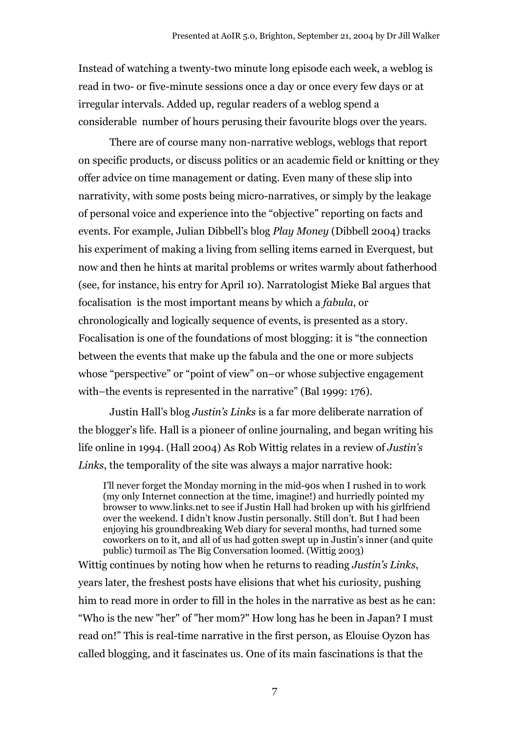Instead of watching a twenty-two minute long episode each week, a weblog is read in two- or five-minute sessions once a day or once every few days or at irregular intervals. Added up, regular readers of a weblog spend a considerable number of hours perusing their favourite blogs over the years.

There are of course many non-narrative weblogs, weblogs that report on specific products, or discuss politics or an academic field or knitting or they offer advice on time management or dating. Even many of these slip into narrativity, with some posts being micro-narratives, or simply by the leakage of personal voice and experience into the "objective" reporting on facts and events. For example, Julian Dibbell's blog *Play Money* (Dibbell 2004) tracks his experiment of making a living from selling items earned in Everquest, but now and then he hints at marital problems or writes warmly about fatherhood (see, for instance, his entry for April 10). Narratologist Mieke Bal argues that focalisation is the most important means by which a *fabula*, or chronologically and logically sequence of events, is presented as a story. Focalisation is one of the foundations of most blogging: it is "the connection between the events that make up the fabula and the one or more subjects whose "perspective" or "point of view" on–or whose subjective engagement with–the events is represented in the narrative" (Bal 1999: 176).

Justin Hall's blog *Justin's Links* is a far more deliberate narration of the blogger's life. Hall is a pioneer of online journaling, and began writing his life online in 1994. (Hall 2004) As Rob Wittig relates in a review of *Justin's Links*, the temporality of the site was always a major narrative hook:

I'll never forget the Monday morning in the mid-90s when I rushed in to work (my only Internet connection at the time, imagine!) and hurriedly pointed my browser to www.links.net to see if Justin Hall had broken up with his girlfriend over the weekend. I didn't know Justin personally. Still don't. But I had been enjoying his groundbreaking Web diary for several months, had turned some coworkers on to it, and all of us had gotten swept up in Justin's inner (and quite public) turmoil as The Big Conversation loomed. (Wittig 2003)

Wittig continues by noting how when he returns to reading *Justin's Links*, years later, the freshest posts have elisions that whet his curiosity, pushing him to read more in order to fill in the holes in the narrative as best as he can: "Who is the new "her" of "her mom?" How long has he been in Japan? I must read on!" This is real-time narrative in the first person, as Elouise Oyzon has called blogging, and it fascinates us. One of its main fascinations is that the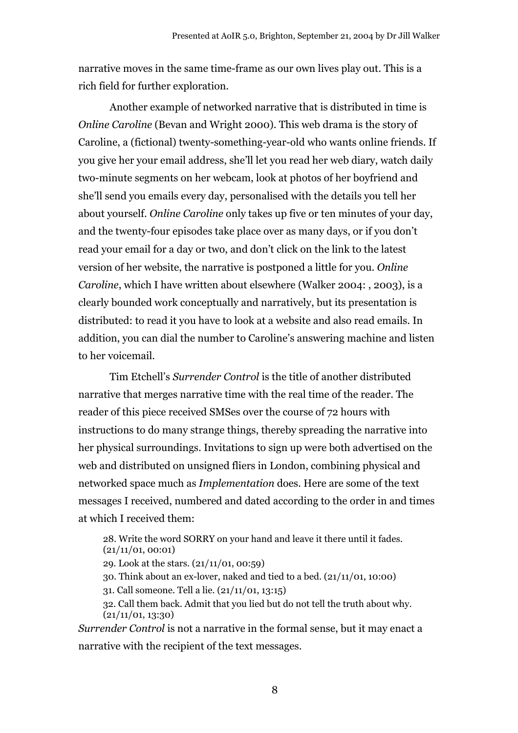narrative moves in the same time-frame as our own lives play out. This is a rich field for further exploration.

Another example of networked narrative that is distributed in time is *Online Caroline* (Bevan and Wright 2000). This web drama is the story of Caroline, a (fictional) twenty-something-year-old who wants online friends. If you give her your email address, she'll let you read her web diary, watch daily two-minute segments on her webcam, look at photos of her boyfriend and she'll send you emails every day, personalised with the details you tell her about yourself. *Online Caroline* only takes up five or ten minutes of your day, and the twenty-four episodes take place over as many days, or if you don't read your email for a day or two, and don't click on the link to the latest version of her website, the narrative is postponed a little for you. *Online Caroline*, which I have written about elsewhere (Walker 2004: , 2003), is a clearly bounded work conceptually and narratively, but its presentation is distributed: to read it you have to look at a website and also read emails. In addition, you can dial the number to Caroline's answering machine and listen to her voicemail.

Tim Etchell's *Surrender Control* is the title of another distributed narrative that merges narrative time with the real time of the reader. The reader of this piece received SMSes over the course of 72 hours with instructions to do many strange things, thereby spreading the narrative into her physical surroundings. Invitations to sign up were both advertised on the web and distributed on unsigned fliers in London, combining physical and networked space much as *Implementation* does. Here are some of the text messages I received, numbered and dated according to the order in and times at which I received them:

28. Write the word SORRY on your hand and leave it there until it fades.  $(21/11/01, 00:01)$ 

29. Look at the stars. (21/11/01, 00:59)

30. Think about an ex-lover, naked and tied to a bed. (21/11/01, 10:00)

31. Call someone. Tell a lie. (21/11/01, 13:15)

32. Call them back. Admit that you lied but do not tell the truth about why.  $(21/11/01, 13:30)$ 

*Surrender Control* is not a narrative in the formal sense, but it may enact a narrative with the recipient of the text messages.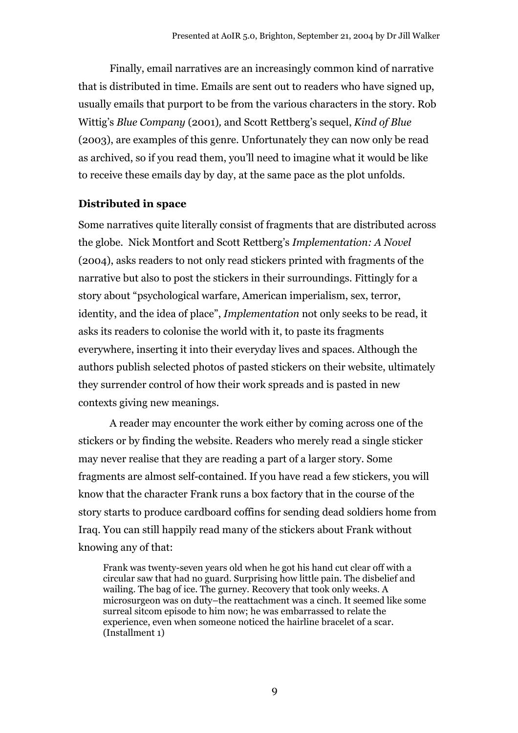Finally, email narratives are an increasingly common kind of narrative that is distributed in time. Emails are sent out to readers who have signed up, usually emails that purport to be from the various characters in the story. Rob Wittig's *Blue Company* (2001)*,* and Scott Rettberg's sequel, *Kind of Blue* (2003), are examples of this genre. Unfortunately they can now only be read as archived, so if you read them, you'll need to imagine what it would be like to receive these emails day by day, at the same pace as the plot unfolds.

### **Distributed in space**

Some narratives quite literally consist of fragments that are distributed across the globe. Nick Montfort and Scott Rettberg's *Implementation: A Novel* (2004), asks readers to not only read stickers printed with fragments of the narrative but also to post the stickers in their surroundings. Fittingly for a story about "psychological warfare, American imperialism, sex, terror, identity, and the idea of place", *Implementation* not only seeks to be read, it asks its readers to colonise the world with it, to paste its fragments everywhere, inserting it into their everyday lives and spaces. Although the authors publish selected photos of pasted stickers on their website, ultimately they surrender control of how their work spreads and is pasted in new contexts giving new meanings.

A reader may encounter the work either by coming across one of the stickers or by finding the website. Readers who merely read a single sticker may never realise that they are reading a part of a larger story. Some fragments are almost self-contained. If you have read a few stickers, you will know that the character Frank runs a box factory that in the course of the story starts to produce cardboard coffins for sending dead soldiers home from Iraq. You can still happily read many of the stickers about Frank without knowing any of that:

Frank was twenty-seven years old when he got his hand cut clear off with a circular saw that had no guard. Surprising how little pain. The disbelief and wailing. The bag of ice. The gurney. Recovery that took only weeks. A microsurgeon was on duty–the reattachment was a cinch. It seemed like some surreal sitcom episode to him now; he was embarrassed to relate the experience, even when someone noticed the hairline bracelet of a scar. (Installment 1)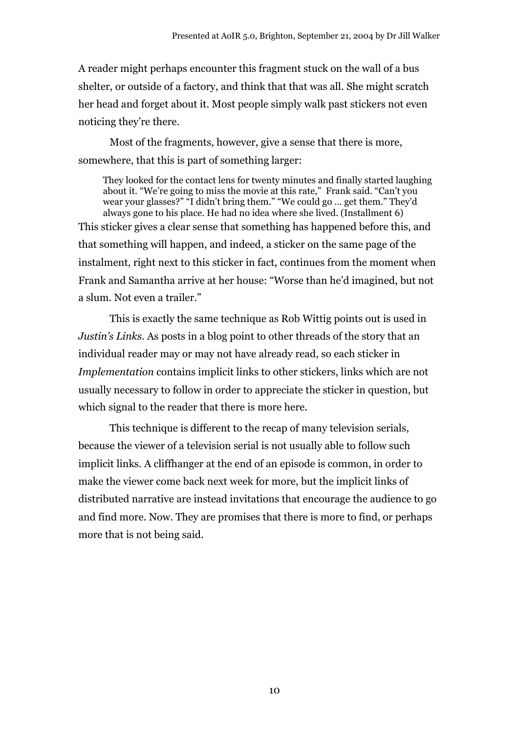A reader might perhaps encounter this fragment stuck on the wall of a bus shelter, or outside of a factory, and think that that was all. She might scratch her head and forget about it. Most people simply walk past stickers not even noticing they're there.

Most of the fragments, however, give a sense that there is more, somewhere, that this is part of something larger:

They looked for the contact lens for twenty minutes and finally started laughing about it. "We're going to miss the movie at this rate," Frank said. "Can't you wear your glasses?" "I didn't bring them." "We could go … get them." They'd always gone to his place. He had no idea where she lived. (Installment 6) This sticker gives a clear sense that something has happened before this, and that something will happen, and indeed, a sticker on the same page of the instalment, right next to this sticker in fact, continues from the moment when Frank and Samantha arrive at her house: "Worse than he'd imagined, but not a slum. Not even a trailer."

This is exactly the same technique as Rob Wittig points out is used in *Justin's Links*. As posts in a blog point to other threads of the story that an individual reader may or may not have already read, so each sticker in *Implementation* contains implicit links to other stickers, links which are not usually necessary to follow in order to appreciate the sticker in question, but which signal to the reader that there is more here.

This technique is different to the recap of many television serials, because the viewer of a television serial is not usually able to follow such implicit links. A cliffhanger at the end of an episode is common, in order to make the viewer come back next week for more, but the implicit links of distributed narrative are instead invitations that encourage the audience to go and find more. Now. They are promises that there is more to find, or perhaps more that is not being said.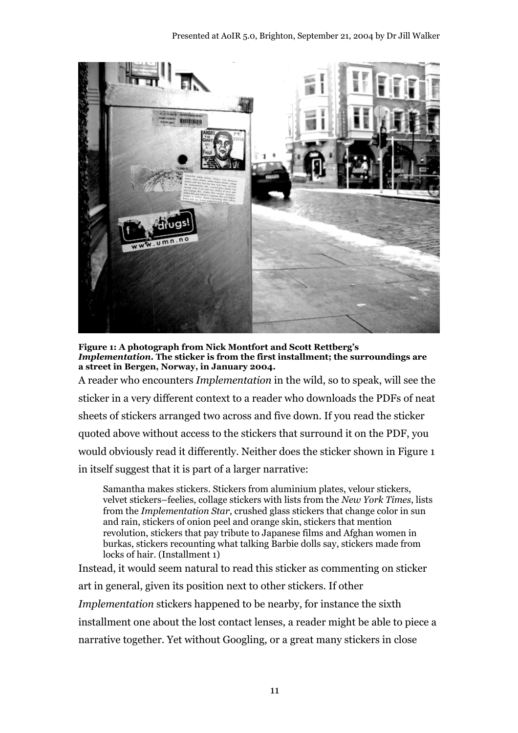

**Figure 1: A photograph from Nick Montfort and Scott Rettberg's** *Implementation***. The sticker is from the first installment; the surroundings are a street in Bergen, Norway, in January 2004.**

A reader who encounters *Implementation* in the wild, so to speak, will see the sticker in a very different context to a reader who downloads the PDFs of neat sheets of stickers arranged two across and five down. If you read the sticker quoted above without access to the stickers that surround it on the PDF, you would obviously read it differently. Neither does the sticker shown in Figure 1 in itself suggest that it is part of a larger narrative:

Samantha makes stickers. Stickers from aluminium plates, velour stickers, velvet stickers–feelies, collage stickers with lists from the *New York Times*, lists from the *Implementation Star*, crushed glass stickers that change color in sun and rain, stickers of onion peel and orange skin, stickers that mention revolution, stickers that pay tribute to Japanese films and Afghan women in burkas, stickers recounting what talking Barbie dolls say, stickers made from locks of hair. (Installment 1)

Instead, it would seem natural to read this sticker as commenting on sticker art in general, given its position next to other stickers. If other *Implementation* stickers happened to be nearby, for instance the sixth installment one about the lost contact lenses, a reader might be able to piece a narrative together. Yet without Googling, or a great many stickers in close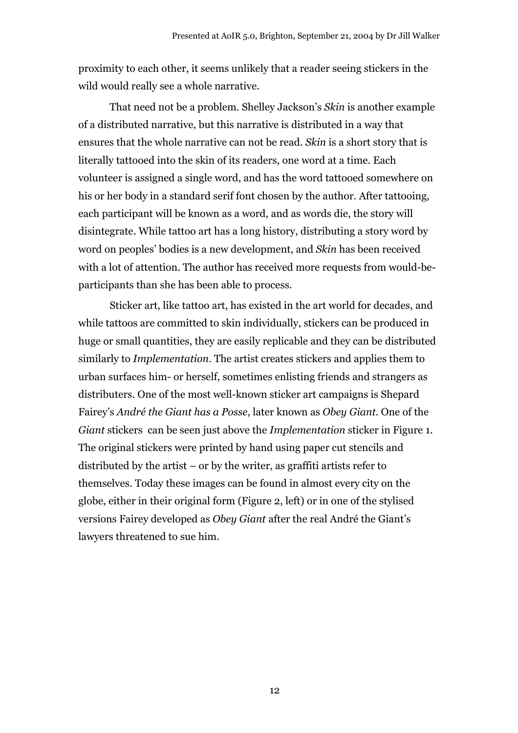proximity to each other, it seems unlikely that a reader seeing stickers in the wild would really see a whole narrative.

That need not be a problem. Shelley Jackson's *Skin* is another example of a distributed narrative, but this narrative is distributed in a way that ensures that the whole narrative can not be read. *Skin* is a short story that is literally tattooed into the skin of its readers, one word at a time. Each volunteer is assigned a single word, and has the word tattooed somewhere on his or her body in a standard serif font chosen by the author. After tattooing, each participant will be known as a word, and as words die, the story will disintegrate. While tattoo art has a long history, distributing a story word by word on peoples' bodies is a new development, and *Skin* has been received with a lot of attention. The author has received more requests from would-beparticipants than she has been able to process.

Sticker art, like tattoo art, has existed in the art world for decades, and while tattoos are committed to skin individually, stickers can be produced in huge or small quantities, they are easily replicable and they can be distributed similarly to *Implementation*. The artist creates stickers and applies them to urban surfaces him- or herself, sometimes enlisting friends and strangers as distributers. One of the most well-known sticker art campaigns is Shepard Fairey's *André the Giant has a Posse*, later known as *Obey Giant*. One of the *Giant* stickers can be seen just above the *Implementation* sticker in Figure 1. The original stickers were printed by hand using paper cut stencils and distributed by the artist – or by the writer, as graffiti artists refer to themselves. Today these images can be found in almost every city on the globe, either in their original form (Figure 2, left) or in one of the stylised versions Fairey developed as *Obey Giant* after the real André the Giant's lawyers threatened to sue him.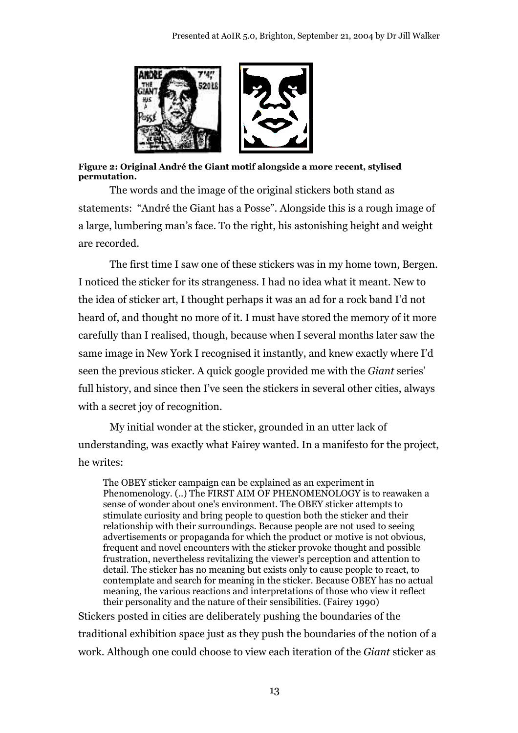

#### **Figure 2: Original André the Giant motif alongside a more recent, stylised permutation.**

The words and the image of the original stickers both stand as statements: "André the Giant has a Posse". Alongside this is a rough image of a large, lumbering man's face. To the right, his astonishing height and weight are recorded.

The first time I saw one of these stickers was in my home town, Bergen. I noticed the sticker for its strangeness. I had no idea what it meant. New to the idea of sticker art, I thought perhaps it was an ad for a rock band I'd not heard of, and thought no more of it. I must have stored the memory of it more carefully than I realised, though, because when I several months later saw the same image in New York I recognised it instantly, and knew exactly where I'd seen the previous sticker. A quick google provided me with the *Giant* series' full history, and since then I've seen the stickers in several other cities, always with a secret joy of recognition.

My initial wonder at the sticker, grounded in an utter lack of understanding, was exactly what Fairey wanted. In a manifesto for the project, he writes:

The OBEY sticker campaign can be explained as an experiment in Phenomenology. (..) The FIRST AIM OF PHENOMENOLOGY is to reawaken a sense of wonder about one's environment. The OBEY sticker attempts to stimulate curiosity and bring people to question both the sticker and their relationship with their surroundings. Because people are not used to seeing advertisements or propaganda for which the product or motive is not obvious, frequent and novel encounters with the sticker provoke thought and possible frustration, nevertheless revitalizing the viewer's perception and attention to detail. The sticker has no meaning but exists only to cause people to react, to contemplate and search for meaning in the sticker. Because OBEY has no actual meaning, the various reactions and interpretations of those who view it reflect their personality and the nature of their sensibilities. (Fairey 1990)

Stickers posted in cities are deliberately pushing the boundaries of the traditional exhibition space just as they push the boundaries of the notion of a work. Although one could choose to view each iteration of the *Giant* sticker as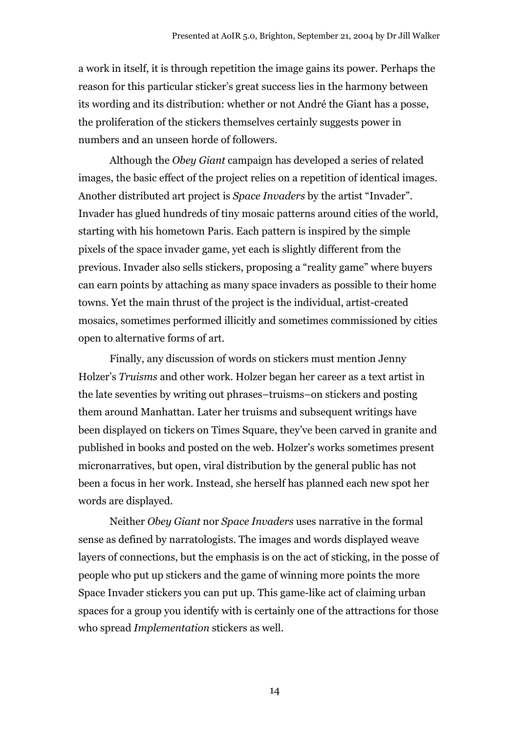a work in itself, it is through repetition the image gains its power. Perhaps the reason for this particular sticker's great success lies in the harmony between its wording and its distribution: whether or not André the Giant has a posse, the proliferation of the stickers themselves certainly suggests power in numbers and an unseen horde of followers.

Although the *Obey Giant* campaign has developed a series of related images, the basic effect of the project relies on a repetition of identical images. Another distributed art project is *Space Invaders* by the artist "Invader". Invader has glued hundreds of tiny mosaic patterns around cities of the world, starting with his hometown Paris. Each pattern is inspired by the simple pixels of the space invader game, yet each is slightly different from the previous. Invader also sells stickers, proposing a "reality game" where buyers can earn points by attaching as many space invaders as possible to their home towns. Yet the main thrust of the project is the individual, artist-created mosaics, sometimes performed illicitly and sometimes commissioned by cities open to alternative forms of art.

Finally, any discussion of words on stickers must mention Jenny Holzer's *Truisms* and other work. Holzer began her career as a text artist in the late seventies by writing out phrases–truisms–on stickers and posting them around Manhattan. Later her truisms and subsequent writings have been displayed on tickers on Times Square, they've been carved in granite and published in books and posted on the web. Holzer's works sometimes present micronarratives, but open, viral distribution by the general public has not been a focus in her work. Instead, she herself has planned each new spot her words are displayed.

Neither *Obey Giant* nor *Space Invaders* uses narrative in the formal sense as defined by narratologists. The images and words displayed weave layers of connections, but the emphasis is on the act of sticking, in the posse of people who put up stickers and the game of winning more points the more Space Invader stickers you can put up. This game-like act of claiming urban spaces for a group you identify with is certainly one of the attractions for those who spread *Implementation* stickers as well.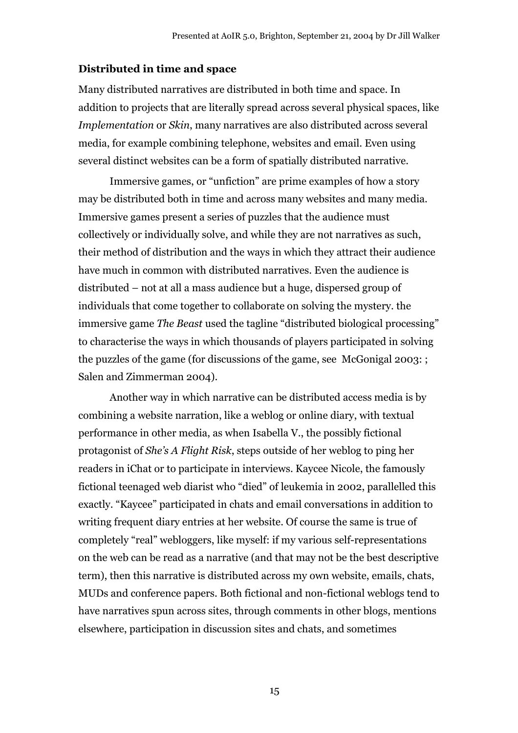#### **Distributed in time and space**

Many distributed narratives are distributed in both time and space. In addition to projects that are literally spread across several physical spaces, like *Implementation* or *Skin*, many narratives are also distributed across several media, for example combining telephone, websites and email. Even using several distinct websites can be a form of spatially distributed narrative.

Immersive games, or "unfiction" are prime examples of how a story may be distributed both in time and across many websites and many media. Immersive games present a series of puzzles that the audience must collectively or individually solve, and while they are not narratives as such, their method of distribution and the ways in which they attract their audience have much in common with distributed narratives. Even the audience is distributed – not at all a mass audience but a huge, dispersed group of individuals that come together to collaborate on solving the mystery. the immersive game *The Beast* used the tagline "distributed biological processing" to characterise the ways in which thousands of players participated in solving the puzzles of the game (for discussions of the game, see McGonigal 2003: ; Salen and Zimmerman 2004).

Another way in which narrative can be distributed access media is by combining a website narration, like a weblog or online diary, with textual performance in other media, as when Isabella V., the possibly fictional protagonist of *She's A Flight Risk*, steps outside of her weblog to ping her readers in iChat or to participate in interviews. Kaycee Nicole, the famously fictional teenaged web diarist who "died" of leukemia in 2002, parallelled this exactly. "Kaycee" participated in chats and email conversations in addition to writing frequent diary entries at her website. Of course the same is true of completely "real" webloggers, like myself: if my various self-representations on the web can be read as a narrative (and that may not be the best descriptive term), then this narrative is distributed across my own website, emails, chats, MUDs and conference papers. Both fictional and non-fictional weblogs tend to have narratives spun across sites, through comments in other blogs, mentions elsewhere, participation in discussion sites and chats, and sometimes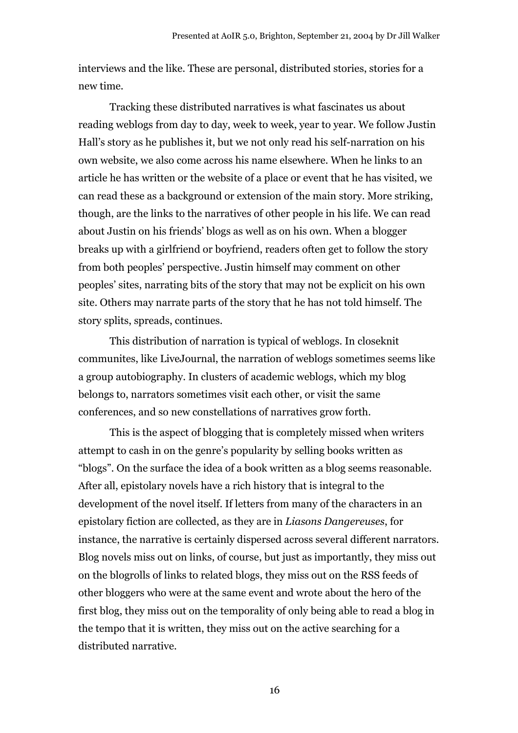interviews and the like. These are personal, distributed stories, stories for a new time.

Tracking these distributed narratives is what fascinates us about reading weblogs from day to day, week to week, year to year. We follow Justin Hall's story as he publishes it, but we not only read his self-narration on his own website, we also come across his name elsewhere. When he links to an article he has written or the website of a place or event that he has visited, we can read these as a background or extension of the main story. More striking, though, are the links to the narratives of other people in his life. We can read about Justin on his friends' blogs as well as on his own. When a blogger breaks up with a girlfriend or boyfriend, readers often get to follow the story from both peoples' perspective. Justin himself may comment on other peoples' sites, narrating bits of the story that may not be explicit on his own site. Others may narrate parts of the story that he has not told himself. The story splits, spreads, continues.

This distribution of narration is typical of weblogs. In closeknit communites, like LiveJournal, the narration of weblogs sometimes seems like a group autobiography. In clusters of academic weblogs, which my blog belongs to, narrators sometimes visit each other, or visit the same conferences, and so new constellations of narratives grow forth.

This is the aspect of blogging that is completely missed when writers attempt to cash in on the genre's popularity by selling books written as "blogs". On the surface the idea of a book written as a blog seems reasonable. After all, epistolary novels have a rich history that is integral to the development of the novel itself. If letters from many of the characters in an epistolary fiction are collected, as they are in *Liasons Dangereuses*, for instance, the narrative is certainly dispersed across several different narrators. Blog novels miss out on links, of course, but just as importantly, they miss out on the blogrolls of links to related blogs, they miss out on the RSS feeds of other bloggers who were at the same event and wrote about the hero of the first blog, they miss out on the temporality of only being able to read a blog in the tempo that it is written, they miss out on the active searching for a distributed narrative.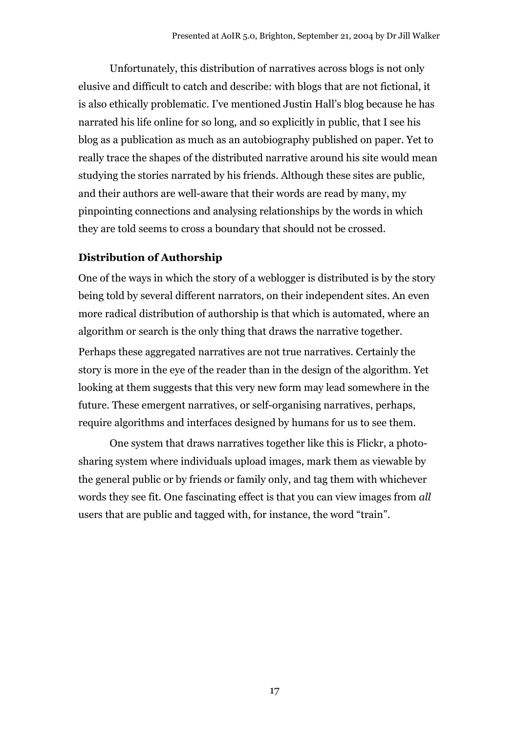Unfortunately, this distribution of narratives across blogs is not only elusive and difficult to catch and describe: with blogs that are not fictional, it is also ethically problematic. I've mentioned Justin Hall's blog because he has narrated his life online for so long, and so explicitly in public, that I see his blog as a publication as much as an autobiography published on paper. Yet to really trace the shapes of the distributed narrative around his site would mean studying the stories narrated by his friends. Although these sites are public, and their authors are well-aware that their words are read by many, my pinpointing connections and analysing relationships by the words in which they are told seems to cross a boundary that should not be crossed.

### **Distribution of Authorship**

One of the ways in which the story of a weblogger is distributed is by the story being told by several different narrators, on their independent sites. An even more radical distribution of authorship is that which is automated, where an algorithm or search is the only thing that draws the narrative together.

Perhaps these aggregated narratives are not true narratives. Certainly the story is more in the eye of the reader than in the design of the algorithm. Yet looking at them suggests that this very new form may lead somewhere in the future. These emergent narratives, or self-organising narratives, perhaps, require algorithms and interfaces designed by humans for us to see them.

One system that draws narratives together like this is Flickr, a photosharing system where individuals upload images, mark them as viewable by the general public or by friends or family only, and tag them with whichever words they see fit. One fascinating effect is that you can view images from *all* users that are public and tagged with, for instance, the word "train".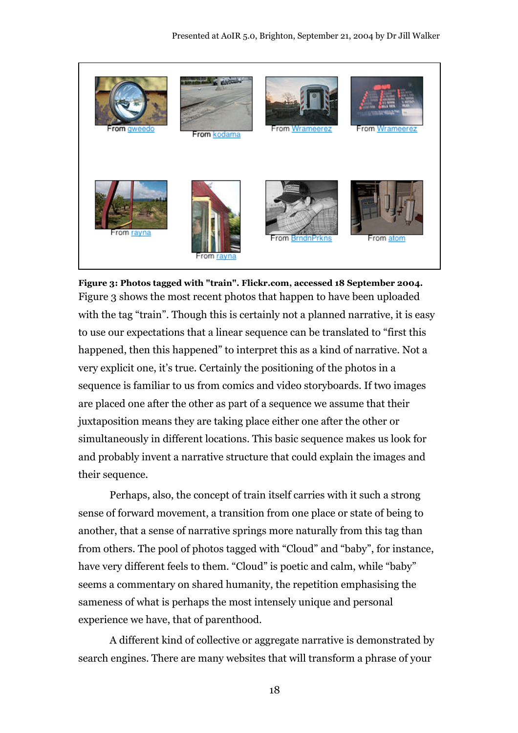

**Figure 3: Photos tagged with "train". Flickr.com, accessed 18 September 2004.** Figure 3 shows the most recent photos that happen to have been uploaded with the tag "train". Though this is certainly not a planned narrative, it is easy to use our expectations that a linear sequence can be translated to "first this happened, then this happened" to interpret this as a kind of narrative. Not a very explicit one, it's true. Certainly the positioning of the photos in a sequence is familiar to us from comics and video storyboards. If two images are placed one after the other as part of a sequence we assume that their juxtaposition means they are taking place either one after the other or simultaneously in different locations. This basic sequence makes us look for and probably invent a narrative structure that could explain the images and their sequence.

Perhaps, also, the concept of train itself carries with it such a strong sense of forward movement, a transition from one place or state of being to another, that a sense of narrative springs more naturally from this tag than from others. The pool of photos tagged with "Cloud" and "baby", for instance, have very different feels to them. "Cloud" is poetic and calm, while "baby" seems a commentary on shared humanity, the repetition emphasising the sameness of what is perhaps the most intensely unique and personal experience we have, that of parenthood.

A different kind of collective or aggregate narrative is demonstrated by search engines. There are many websites that will transform a phrase of your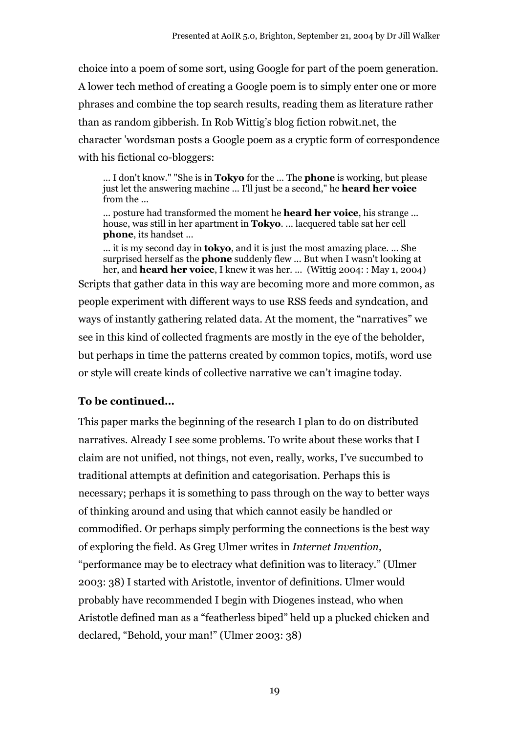choice into a poem of some sort, using Google for part of the poem generation. A lower tech method of creating a Google poem is to simply enter one or more phrases and combine the top search results, reading them as literature rather than as random gibberish. In Rob Wittig's blog fiction robwit.net, the character 'wordsman posts a Google poem as a cryptic form of correspondence with his fictional co-bloggers:

... I don't know." "She is in **Tokyo** for the ... The **phone** is working, but please just let the answering machine ... I'll just be a second," he **heard her voice** from the ...

... posture had transformed the moment he **heard her voice**, his strange ... house, was still in her apartment in **Tokyo**. ... lacquered table sat her cell **phone**, its handset ...

... it is my second day in **tokyo**, and it is just the most amazing place. ... She surprised herself as the **phone** suddenly flew ... But when I wasn't looking at her, and **heard her voice**, I knew it was her. ... (Wittig 2004: : May 1, 2004) Scripts that gather data in this way are becoming more and more common, as people experiment with different ways to use RSS feeds and syndcation, and ways of instantly gathering related data. At the moment, the "narratives" we see in this kind of collected fragments are mostly in the eye of the beholder, but perhaps in time the patterns created by common topics, motifs, word use or style will create kinds of collective narrative we can't imagine today.

#### **To be continued…**

This paper marks the beginning of the research I plan to do on distributed narratives. Already I see some problems. To write about these works that I claim are not unified, not things, not even, really, works, I've succumbed to traditional attempts at definition and categorisation. Perhaps this is necessary; perhaps it is something to pass through on the way to better ways of thinking around and using that which cannot easily be handled or commodified. Or perhaps simply performing the connections is the best way of exploring the field. As Greg Ulmer writes in *Internet Invention*, "performance may be to electracy what definition was to literacy." (Ulmer 2003: 38) I started with Aristotle, inventor of definitions. Ulmer would probably have recommended I begin with Diogenes instead, who when Aristotle defined man as a "featherless biped" held up a plucked chicken and declared, "Behold, your man!" (Ulmer 2003: 38)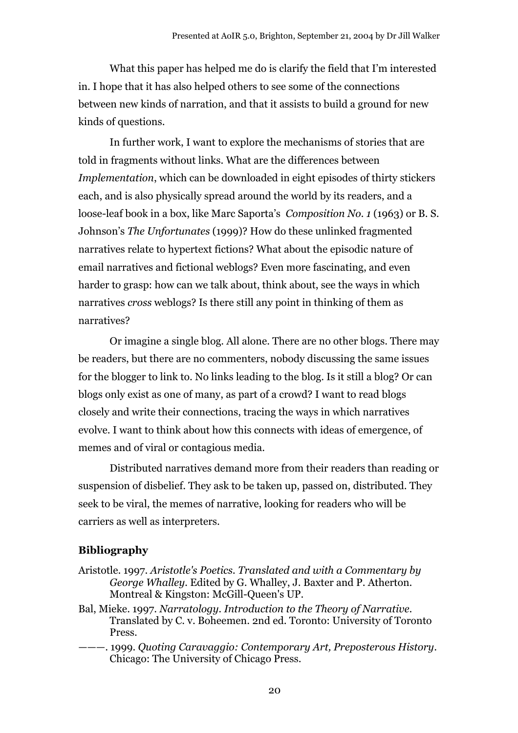What this paper has helped me do is clarify the field that I'm interested in. I hope that it has also helped others to see some of the connections between new kinds of narration, and that it assists to build a ground for new kinds of questions.

In further work, I want to explore the mechanisms of stories that are told in fragments without links. What are the differences between *Implementation*, which can be downloaded in eight episodes of thirty stickers each, and is also physically spread around the world by its readers, and a loose-leaf book in a box, like Marc Saporta's *Composition No. 1* (1963) or B. S. Johnson's *The Unfortunates* (1999)? How do these unlinked fragmented narratives relate to hypertext fictions? What about the episodic nature of email narratives and fictional weblogs? Even more fascinating, and even harder to grasp: how can we talk about, think about, see the ways in which narratives *cross* weblogs? Is there still any point in thinking of them as narratives?

Or imagine a single blog. All alone. There are no other blogs. There may be readers, but there are no commenters, nobody discussing the same issues for the blogger to link to. No links leading to the blog. Is it still a blog? Or can blogs only exist as one of many, as part of a crowd? I want to read blogs closely and write their connections, tracing the ways in which narratives evolve. I want to think about how this connects with ideas of emergence, of memes and of viral or contagious media.

Distributed narratives demand more from their readers than reading or suspension of disbelief. They ask to be taken up, passed on, distributed. They seek to be viral, the memes of narrative, looking for readers who will be carriers as well as interpreters.

#### **Bibliography**

- Aristotle. 1997. *Aristotle's Poetics. Translated and with a Commentary by George Whalley.* Edited by G. Whalley, J. Baxter and P. Atherton. Montreal & Kingston: McGill-Queen's UP.
- Bal, Mieke. 1997. *Narratology. Introduction to the Theory of Narrative*. Translated by C. v. Boheemen. 2nd ed. Toronto: University of Toronto Press.
- ———. 1999. *Quoting Caravaggio: Contemporary Art, Preposterous History*. Chicago: The University of Chicago Press.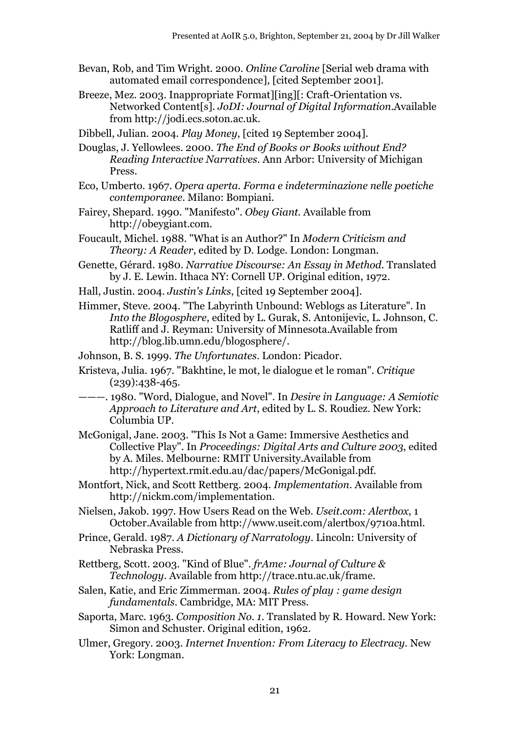- Bevan, Rob, and Tim Wright. 2000. *Online Caroline* [Serial web drama with automated email correspondence], [cited September 2001].
- Breeze, Mez. 2003. Inappropriate Format][ing][: Craft-Orientation vs. Networked Content[s]. *JoDI: Journal of Digital Information*.Available from http://jodi.ecs.soton.ac.uk.
- Dibbell, Julian. 2004. *Play Money*, [cited 19 September 2004].
- Douglas, J. Yellowlees. 2000. *The End of Books or Books without End? Reading Interactive Narratives*. Ann Arbor: University of Michigan Press.
- Eco, Umberto. 1967. *Opera aperta. Forma e indeterminazione nelle poetiche contemporanee.* Milano: Bompiani.
- Fairey, Shepard. 1990. "Manifesto". *Obey Giant*. Available from http://obeygiant.com.
- Foucault, Michel. 1988. "What is an Author?" In *Modern Criticism and Theory: A Reader*, edited by D. Lodge. London: Longman.
- Genette, Gérard. 1980. *Narrative Discourse: An Essay in Method*. Translated by J. E. Lewin. Ithaca NY: Cornell UP. Original edition, 1972.
- Hall, Justin. 2004. *Justin's Links*, [cited 19 September 2004].
- Himmer, Steve. 2004. "The Labyrinth Unbound: Weblogs as Literature". In *Into the Blogosphere*, edited by L. Gurak, S. Antonijevic, L. Johnson, C. Ratliff and J. Reyman: University of Minnesota.Available from http://blog.lib.umn.edu/blogosphere/.
- Johnson, B. S. 1999. *The Unfortunates*. London: Picador.
- Kristeva, Julia. 1967. "Bakhtine, le mot, le dialogue et le roman". *Critique* (239):438-465.
- ———. 1980. "Word, Dialogue, and Novel". In *Desire in Language: A Semiotic Approach to Literature and Art*, edited by L. S. Roudiez. New York: Columbia UP.
- McGonigal, Jane. 2003. "This Is Not a Game: Immersive Aesthetics and Collective Play". In *Proceedings: Digital Arts and Culture 2003*, edited by A. Miles. Melbourne: RMIT University.Available from http://hypertext.rmit.edu.au/dac/papers/McGonigal.pdf.
- Montfort, Nick, and Scott Rettberg. 2004. *Implementation*. Available from http://nickm.com/implementation.
- Nielsen, Jakob. 1997. How Users Read on the Web. *Useit.com: Alertbox*, 1 October.Available from http://www.useit.com/alertbox/9710a.html.
- Prince, Gerald. 1987. *A Dictionary of Narratology*. Lincoln: University of Nebraska Press.
- Rettberg, Scott. 2003. "Kind of Blue". *frAme: Journal of Culture & Technology*. Available from http://trace.ntu.ac.uk/frame.
- Salen, Katie, and Eric Zimmerman. 2004. *Rules of play : game design fundamentals*. Cambridge, MA: MIT Press.
- Saporta, Marc. 1963. *Composition No. 1*. Translated by R. Howard. New York: Simon and Schuster. Original edition, 1962.
- Ulmer, Gregory. 2003. *Internet Invention: From Literacy to Electracy*. New York: Longman.